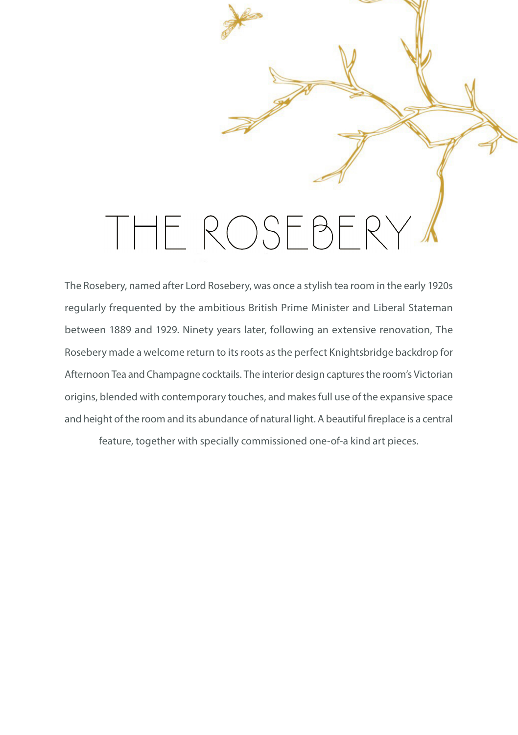The Rosebery, named after Lord Rosebery, was once a stylish tea room in the early 1920s regularly frequented by the ambitious British Prime Minister and Liberal Stateman between 1889 and 1929. Ninety years later, following an extensive renovation, The Rosebery made a welcome return to its roots as the perfect Knightsbridge backdrop for Afternoon Tea and Champagne cocktails. The interior design captures the room's Victorian origins, blended with contemporary touches, and makes full use of the expansive space and height of the room and its abundance of natural light. A beautiful fireplace is a central

feature, together with specially commissioned one-of-a kind art pieces.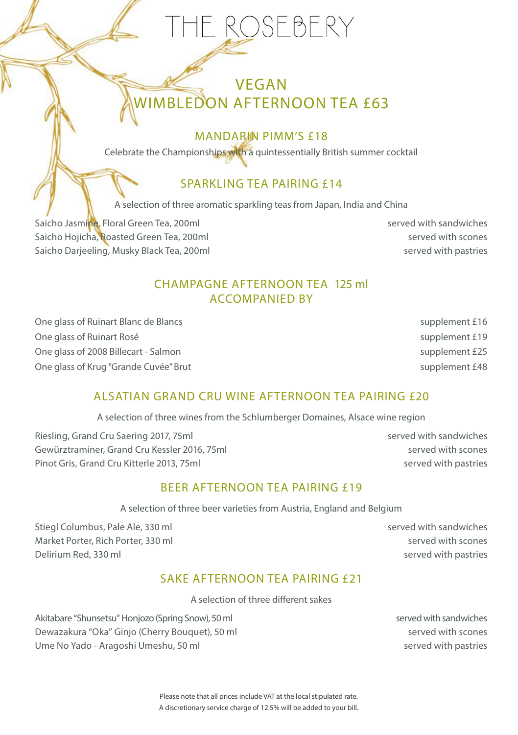### VEGAN WIMBLEDON AFTERNOON TEA £63

THE ROSEBERY

#### MANDARIN PIMM'S £18

Celebrate the Championships with a quintessentially British summer cocktail

#### SPARKLING TEA PAIRING £14

A selection of three aromatic sparkling teas from Japan, India and China

Saicho Jasmine, Floral Green Tea, 200ml served with sandwiches Saicho Hojicha, Roasted Green Tea, 200ml served with scones Saicho Darjeeling, Musky Black Tea, 200ml served with pastries

#### CHAMPAGNE AFTERNOON TEA 125 ml ACCOMPANIED BY

One glass of Ruinart Blanc de Blancs supplement £16 One glass of Ruinart Rosé supplement £19 One glass of 2008 Billecart - Salmon supplement £25 One alass of Krug "Grande Cuvée" Brut supplement £48

#### ALSATIAN GRAND CRU WINF AFTERNOON TEA PAIRING £20

A selection of three wines from the Schlumberger Domaines, Alsace wine region

Riesling, Grand Cru Saering 2017, 75ml served with sandwiches Gewürztraminer, Grand Cru Kessler 2016, 75ml served with scones Pinot Gris, Grand Cru Kitterle 2013, 75ml served with pastries

#### BEER AFTERNOON TEA PAIRING £19

A selection of three beer varieties from Austria, England and Belgium

Stiegl Columbus, Pale Ale, 330 ml Market Porter, Rich Porter, 330 ml Delirium Red, 330 ml served with pastries

#### SAKE AFTERNOON TEA PAIRING £21

A selection of three different sakes

Akitabare "Shunsetsu" Honjozo (Spring Snow), 50 ml served with sandwiches Dewazakura "Oka" Ginjo (Cherry Bouquet), 50 ml served with scones Ume No Yado - Aragoshi Umeshu, 50 ml served with pastries with pastries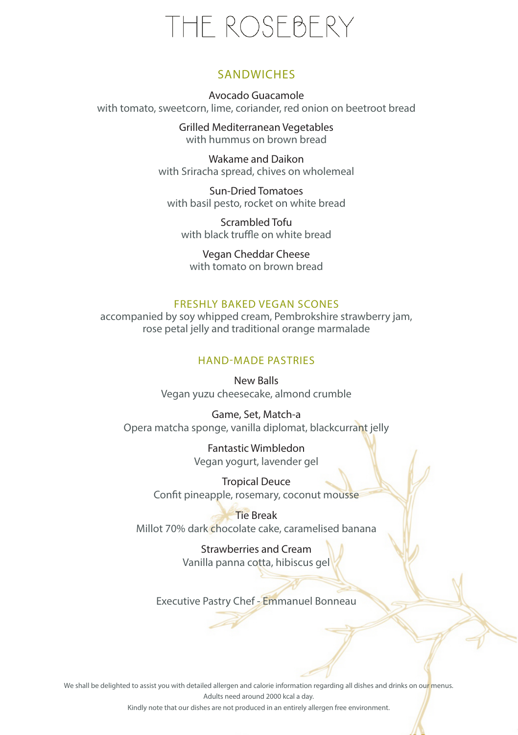#### **SANDWICHES**

Avocado Guacamole with tomato, sweetcorn, lime, coriander, red onion on beetroot bread

> Grilled Mediterranean Vegetables with hummus on brown bread

Wakame and Daikon with Sriracha spread, chives on wholemeal

Sun-Dried Tomatoes with basil pesto, rocket on white bread

Scrambled Tofu with black truffle on white bread

Vegan Cheddar Cheese with tomato on brown bread

#### FRESHLY BAKED VEGAN SCONES

accompanied by soy whipped cream, Pembrokshire strawberry jam, rose petal jelly and traditional orange marmalade

#### HAND-MADE PASTRIES

New Balls Vegan yuzu cheesecake, almond crumble

Game, Set, Match-a Opera matcha sponge, vanilla diplomat, blackcurrant jelly

> Fantastic Wimbledon Vegan yogurt, lavender gel

Tropical Deuce Confit pineapple, rosemary, coconut mousse

Tie Break Millot 70% dark chocolate cake, caramelised banana

> Strawberries and Cream Vanilla panna cotta, hibiscus gel

Executive Pastry Chef - Emmanuel Bonneau

We shall be delighted to assist you with detailed allergen and calorie information regarding all dishes and drinks on our menus. Adults need around 2000 kcal a day.

Kindly note that our dishes are not produced in an entirely allergen free environment.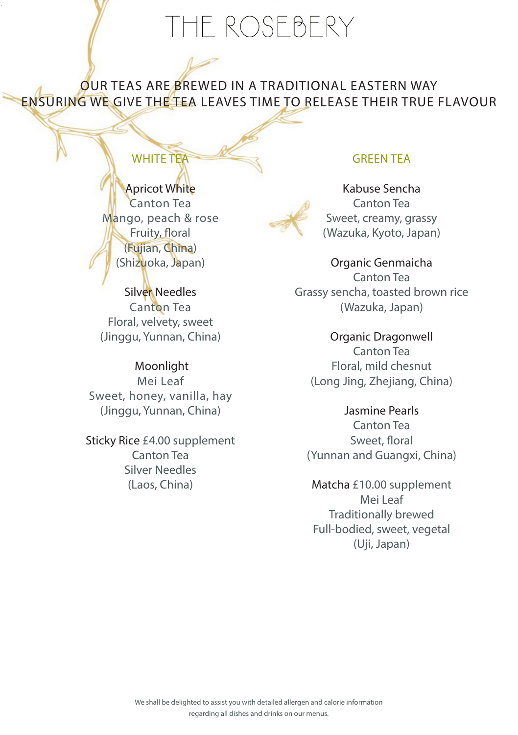#### OUR TEAS ARE BREWED IN A TRADITIONAL EASTERN WAY ENSURING WE GIVE THE TEA LEAVES TIME TO RELEASE THEIR TRUE FLAVOUR

### WHITE TEA

**Apricot White** Canton Tea Mango, peach & rose Fruity, floral (Fujian, China) (Shizuoka, Japan)

Silver Needles Canton Tea Floral, velvety, sweet (Jinggu, Yunnan, China)

#### Moonlight

Mei Leaf Sweet, honey, vanilla, hay (Jinggu, Yunnan, China)

Sticky Rice £4.00 supplement Canton Tea Silver Needles (Laos, China)

#### GREEN TEA

Kabuse Sencha Canton Tea Sweet, creamy, grassy (Wazuka, Kyoto, Japan)

Organic Genmaicha Canton Tea Grassy sencha, toasted brown rice (Wazuka, Japan)

Organic Dragonwell Canton Tea Floral, mild chesnut (Long Jing, Zhejiang, China)

Jasmine Pearls Canton Tea Sweet, floral (Yunnan and Guangxi, China)

Matcha £10.00 supplement Mei Leaf Traditionally brewed Full-bodied, sweet, vegetal (Uji, Japan)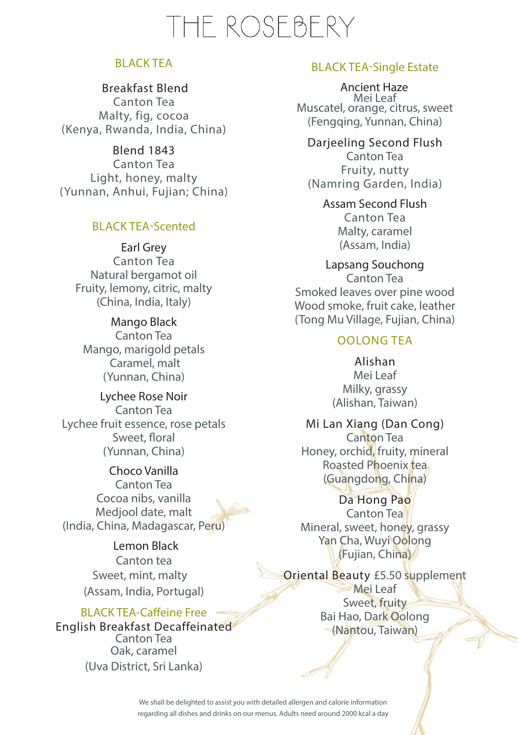#### BLACK TEA

Breakfast Blend Canton Tea Malty, fig, cocoa (Kenya, Rwanda, India, China)

Blend 1843 Canton Tea Light, honey, malty (Yunnan, Anhui, Fujian; China)

#### BLACK TEA-Scented

Earl Grey Canton Tea Natural bergamot oil Fruity, lemony, citric, malty (China, India, Italy)

Mango Black Canton Tea Mango, marigold petals Caramel, malt (Yunnan, China)

Lychee Rose Noir Canton Tea Lychee fruit essence, rose petals Sweet, floral (Yunnan, China)

Choco Vanilla Canton Tea Cocoa nibs, vanilla Medjool date, malt (India, China, Madagascar, Peru)

> Lemon Black Canton tea Sweet, mint, malty (Assam, India, Portugal)

#### BLACK TEA-Caffeine Free

English Breakfast Decaffeinated Canton Tea Oak, caramel (Uva District, Sri Lanka)

#### BLACK TEA-Single Estate

 Ancient Haze Mei Leaf Muscatel, orange, citrus, sweet (Fengqing, Yunnan, China)

Darjeeling Second Flush Canton Tea Fruity, nutty (Namring Garden, India)

> Assam Second Flush Canton Tea Malty, caramel (Assam, India)

Lapsang Souchong Canton Tea Smoked leaves over pine wood Wood smoke, fruit cake, leather (Tong Mu Village, Fujian, China)

#### OOLONG TEA

Alishan Mei Leaf Milky, grassy (Alishan, Taiwan)

Mi Lan Xiang (Dan Cong) Canton Tea Honey, orchid, fruity, mineral Roasted Phoenix tea (Guangdong, China)

Da Hong Pao Canton Tea Mineral, sweet, honey, grassy Yan Cha, Wuyi Oolong (Fujian, China)

Oriental Beauty £5.50 supplement Mei Leaf Sweet, fruity Bai Hao, Dark Oolong (Nantou, Taiwan)

We shall be delighted to assist you with detailed allergen and calorie information regarding all dishes and drinks on our menus. Adults need around 2000 kcal a day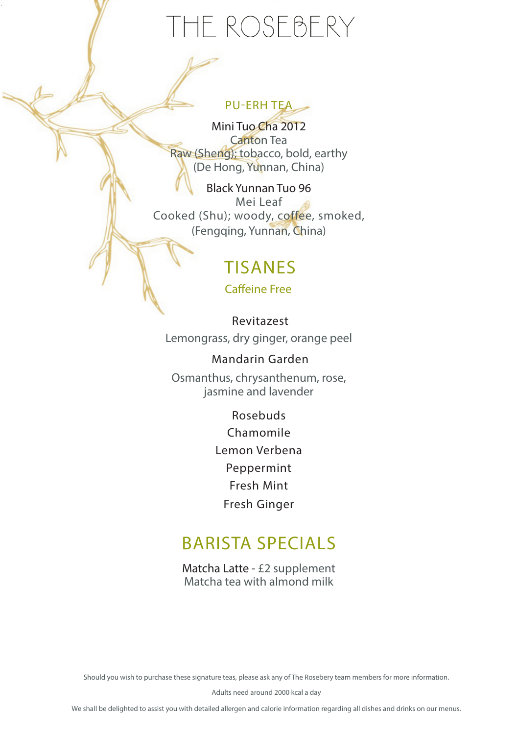#### PU-ERH TEA

Mini Tuo Cha 2012 Canton Tea Raw (Sheng); tobacco, bold, earthy (De Hong, Yunnan, China)

Black Yunnan Tuo 96 Mei Leaf Cooked (Shu); woody, coffee, smoked, (Fengqing, Yunnan, China)

### TISANES

Caffeine Free

 Revitazest Lemongrass, dry ginger, orange peel

Mandarin Garden

Osmanthus, chrysanthenum, rose, jasmine and lavender

> Rosebuds Chamomile Lemon Verbena Peppermint Fresh Mint Fresh Ginger

### BARISTA SPECIALS

Matcha Latte - £2 supplement Matcha tea with almond milk

Should you wish to purchase these signature teas, please ask any of The Rosebery team members for more information.

Adults need around 2000 kcal a day

We shall be delighted to assist you with detailed allergen and calorie information regarding all dishes and drinks on our menus.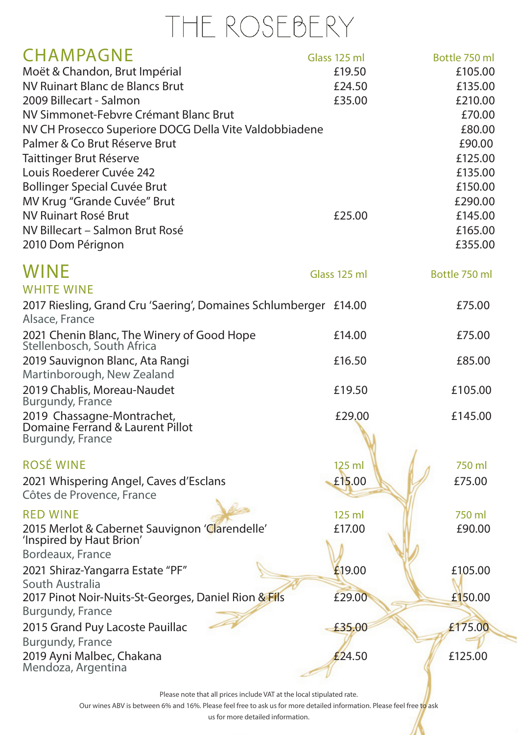| <b>CHAMPAGNE</b><br>Moët & Chandon, Brut Impérial<br>NV Ruinart Blanc de Blancs Brut<br>2009 Billecart - Salmon<br>NV Simmonet-Febvre Crémant Blanc Brut<br>NV CH Prosecco Superiore DOCG Della Vite Valdobbiadene<br>Palmer & Co Brut Réserve Brut<br>Taittinger Brut Réserve<br>Louis Roederer Cuvée 242<br><b>Bollinger Special Cuvée Brut</b> | Glass 125 ml<br>£19.50<br>£24.50<br>£35.00 | Bottle 750 ml<br>£105.00<br>£135.00<br>£210.00<br>£70.00<br>£80.00<br>£90.00<br>£125.00<br>£135.00<br>£150.00 |
|---------------------------------------------------------------------------------------------------------------------------------------------------------------------------------------------------------------------------------------------------------------------------------------------------------------------------------------------------|--------------------------------------------|---------------------------------------------------------------------------------------------------------------|
| MV Krug "Grande Cuvée" Brut<br>NV Ruinart Rosé Brut<br>NV Billecart - Salmon Brut Rosé<br>2010 Dom Pérignon                                                                                                                                                                                                                                       | £25.00                                     | £290.00<br>£145.00<br>£165.00<br>£355.00                                                                      |
| <b>WINE</b><br><b>WHITE WINE</b>                                                                                                                                                                                                                                                                                                                  | Glass 125 ml                               | Bottle 750 ml                                                                                                 |
| 2017 Riesling, Grand Cru 'Saering', Domaines Schlumberger £14.00<br>Alsace, France                                                                                                                                                                                                                                                                |                                            | £75.00                                                                                                        |
| 2021 Chenin Blanc, The Winery of Good Hope<br>Stellenbosch, South Africa                                                                                                                                                                                                                                                                          | £14.00                                     | £75.00                                                                                                        |
| 2019 Sauvignon Blanc, Ata Rangi<br>Martinborough, New Zealand                                                                                                                                                                                                                                                                                     | £16.50                                     | £85.00                                                                                                        |
| 2019 Chablis, Moreau-Naudet<br>Burgundy, France                                                                                                                                                                                                                                                                                                   | £19.50                                     | £105.00                                                                                                       |
| 2019 Chassagne-Montrachet,<br>Domaine Ferrand & Laurent Pillot<br>Burgundy, France                                                                                                                                                                                                                                                                | £29,00                                     | £145.00                                                                                                       |
| ROSÉ WINE                                                                                                                                                                                                                                                                                                                                         | 125 ml                                     | 750 ml                                                                                                        |
| 2021 Whispering Angel, Caves d'Esclans<br>Côtes de Provence, France                                                                                                                                                                                                                                                                               | £15.00                                     | £75.00                                                                                                        |
| <b>RED WINE</b><br>2015 Merlot & Cabernet Sauvignon 'Clarendelle'<br>'Inspired by Haut Brion'<br>Bordeaux, France                                                                                                                                                                                                                                 | 125 ml<br>£17.00                           | 750 ml<br>£90.00                                                                                              |
| 2021 Shiraz-Yangarra Estate "PF"                                                                                                                                                                                                                                                                                                                  | £19.00                                     | £105.00                                                                                                       |
| South Australia<br>2017 Pinot Noir-Nuits-St-Georges, Daniel Rion & Fils                                                                                                                                                                                                                                                                           | £29.00                                     | £150.00                                                                                                       |
| Burgundy, France<br>2015 Grand Puy Lacoste Pauillac                                                                                                                                                                                                                                                                                               | £35.00                                     | £175.00                                                                                                       |
| <b>Burgundy, France</b>                                                                                                                                                                                                                                                                                                                           |                                            |                                                                                                               |
| 2019 Ayni Malbec, Chakana<br>Mendoza, Argentina                                                                                                                                                                                                                                                                                                   | £24.50                                     | £125.00                                                                                                       |

Please note that all prices include VAT at the local stipulated rate.

Our wines ABV is between 6% and 16%. Please feel free to ask us for more detailed information. Please feel free to ask

us for more detailed information.